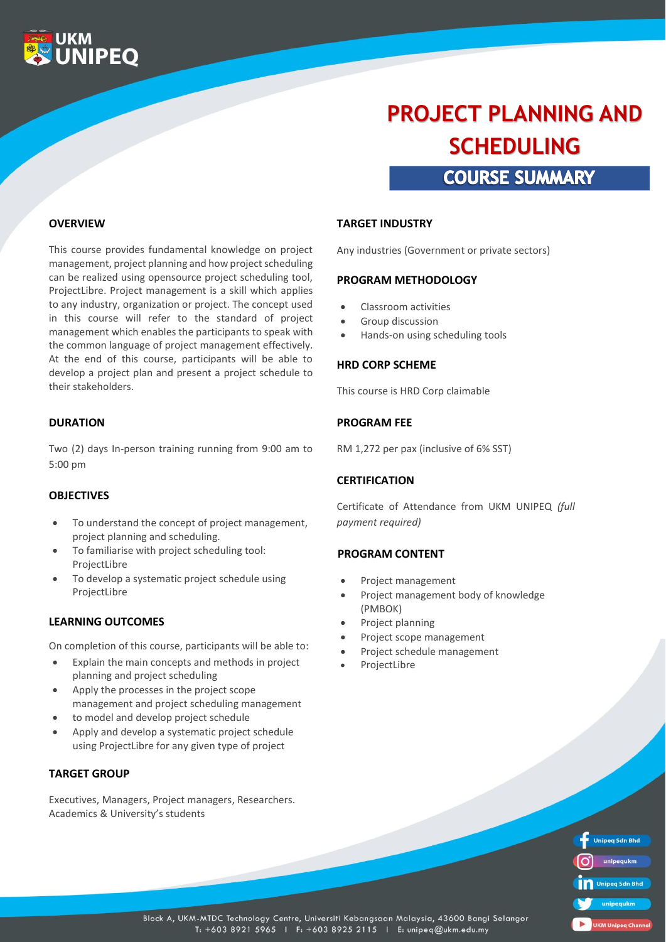

# **COURSE SUMMARY PROJECT PLANNING AND SCHEDULING**

**OVERVIEW**

This course provides fundamental knowledge on project management, project planning and how project scheduling can be realized using opensource project scheduling tool, ProjectLibre. Project management is a skill which applies to any industry, organization or project. The concept used in this course will refer to the standard of project management which enables the participants to speak with the common language of project management effectively. At the end of this course, participants will be able to develop a project plan and present a project schedule to their stakeholders.

### **DURATION**

Two (2) days In-person training running from 9:00 am to 5:00 pm

#### **OBJECTIVES**

- To understand the concept of project management, project planning and scheduling.
- To familiarise with project scheduling tool: ProjectLibre
- To develop a systematic project schedule using ProjectLibre

#### **LEARNING OUTCOMES**

On completion of this course, participants will be able to:

- Explain the main concepts and methods in project planning and project scheduling
- Apply the processes in the project scope management and project scheduling management
- to model and develop project schedule
- Apply and develop a systematic project schedule using ProjectLibre for any given type of project

#### **TARGET GROUP**

Executives, Managers, Project managers, Researchers. Academics & University's students

#### **TARGET INDUSTRY**

Any industries (Government or private sectors)

#### **PROGRAM METHODOLOGY**

- Classroom activities
- Group discussion
- Hands-on using scheduling tools

#### **HRD CORP SCHEME**

This course is HRD Corp claimable

#### **PROGRAM FEE**

RM 1,272 per pax (inclusive of 6% SST)

#### **CERTIFICATION**

Certificate of Attendance from UKM UNIPEQ *(full payment required)*

#### **PROGRAM CONTENT**

- Project management
- Project management body of knowledge (PMBOK)
- Project planning
- Project scope management
- Project schedule management
- **ProjectLibre**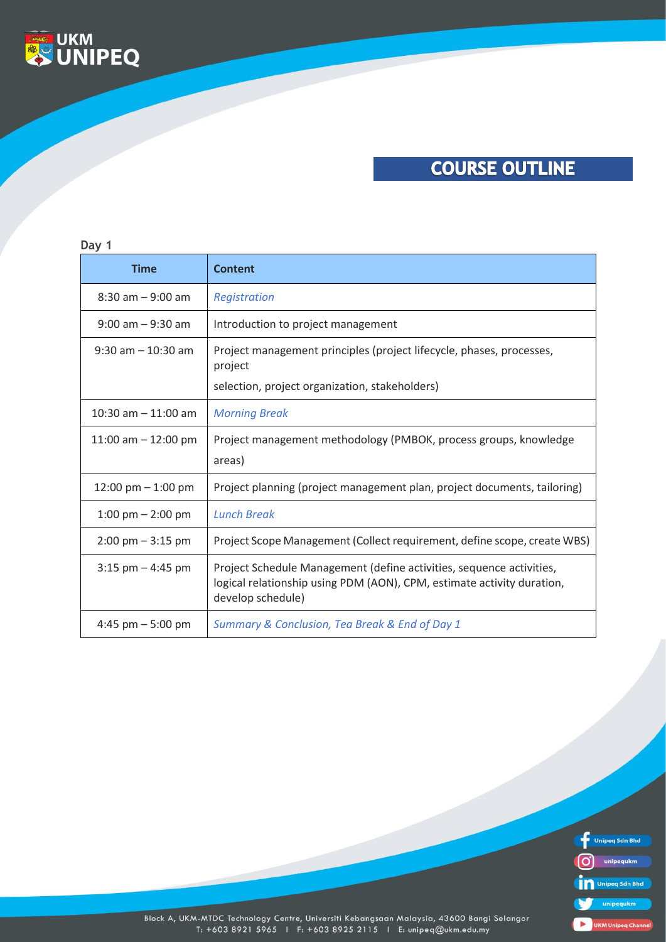

## **COURSE OUTLINE**

### **Day 1**

| <b>Time</b>                         | <b>Content</b>                                                                                                                                                      |
|-------------------------------------|---------------------------------------------------------------------------------------------------------------------------------------------------------------------|
| $8:30$ am $-9:00$ am                | Registration                                                                                                                                                        |
| $9:00$ am $-9:30$ am                | Introduction to project management                                                                                                                                  |
| $9:30$ am $-10:30$ am               | Project management principles (project lifecycle, phases, processes,<br>project                                                                                     |
|                                     | selection, project organization, stakeholders)                                                                                                                      |
| 10:30 am $-$ 11:00 am               | <b>Morning Break</b>                                                                                                                                                |
| 11:00 am $-$ 12:00 pm               | Project management methodology (PMBOK, process groups, knowledge                                                                                                    |
|                                     | areas)                                                                                                                                                              |
| 12:00 pm $-$ 1:00 pm                | Project planning (project management plan, project documents, tailoring)                                                                                            |
| $1:00 \text{ pm} - 2:00 \text{ pm}$ | <b>Lunch Break</b>                                                                                                                                                  |
| $2:00 \text{ pm} - 3:15 \text{ pm}$ | Project Scope Management (Collect requirement, define scope, create WBS)                                                                                            |
| $3:15$ pm $-4:45$ pm                | Project Schedule Management (define activities, sequence activities,<br>logical relationship using PDM (AON), CPM, estimate activity duration,<br>develop schedule) |
| 4:45 pm $-5:00$ pm                  | Summary & Conclusion, Tea Break & End of Day 1                                                                                                                      |



Block A, UKM-MTDC Technology Centre, Universiti Kebangsaan Malaysia, 43600 Bangi Selangor<br>T: +603 8921 5965 1 F: +603 8925 2115 1 E: unipeq@ukm.edu.my